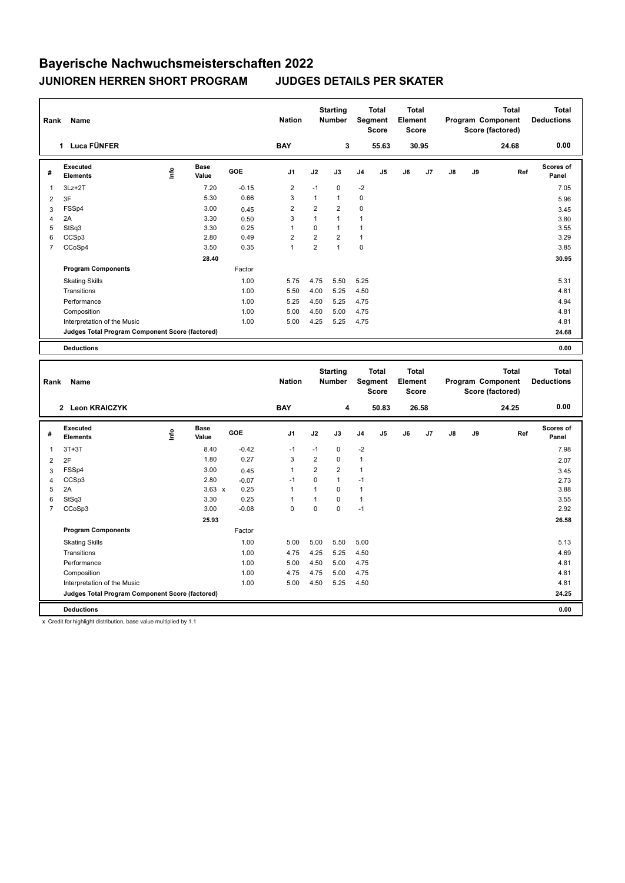## **Bayerische Nachwuchsmeisterschaften 2022 JUNIOREN HERREN SHORT PROGRAM JUDGES DETAILS PER SKATER**

| Name<br>Rank   |                                                 |                                  |                      |         |                | <b>Starting</b><br><b>Nation</b><br><b>Number</b> |                | <b>Total</b><br>Segment<br><b>Score</b> |                | <b>Total</b><br>Element<br><b>Score</b> |                | <b>Total</b><br>Program Component<br>Score (factored) |    |       | <b>Total</b><br><b>Deductions</b> |
|----------------|-------------------------------------------------|----------------------------------|----------------------|---------|----------------|---------------------------------------------------|----------------|-----------------------------------------|----------------|-----------------------------------------|----------------|-------------------------------------------------------|----|-------|-----------------------------------|
|                | 1 Luca FÜNFER                                   |                                  |                      |         | <b>BAY</b>     |                                                   | 3              |                                         | 55.63          |                                         | 30.95          |                                                       |    | 24.68 | 0.00                              |
| #              | <b>Executed</b><br><b>Elements</b>              | $\mathop{\mathsf{Irr}}\nolimits$ | <b>Base</b><br>Value | GOE     | J <sub>1</sub> | J2                                                | J3             | J <sub>4</sub>                          | J <sub>5</sub> | J6                                      | J <sub>7</sub> | $\mathsf{J}8$                                         | J9 | Ref   | Scores of<br>Panel                |
| $\overline{1}$ | $3Lz + 2T$                                      |                                  | 7.20                 | $-0.15$ | $\overline{2}$ | $-1$                                              | $\mathbf 0$    | $-2$                                    |                |                                         |                |                                                       |    |       | 7.05                              |
| 2              | 3F                                              |                                  | 5.30                 | 0.66    | 3              | $\mathbf{1}$                                      | 1              | 0                                       |                |                                         |                |                                                       |    |       | 5.96                              |
| 3              | FSSp4                                           |                                  | 3.00                 | 0.45    | $\overline{2}$ | $\overline{2}$                                    | $\overline{2}$ | 0                                       |                |                                         |                |                                                       |    |       | 3.45                              |
| 4              | 2A                                              |                                  | 3.30                 | 0.50    | 3              | 1                                                 | $\mathbf{1}$   | 1                                       |                |                                         |                |                                                       |    |       | 3.80                              |
| 5              | StSq3                                           |                                  | 3.30                 | 0.25    | 1              | 0                                                 | 1              |                                         |                |                                         |                |                                                       |    |       | 3.55                              |
| 6              | CCSp3                                           |                                  | 2.80                 | 0.49    | 2              | $\overline{2}$                                    | 2              | $\mathbf{1}$                            |                |                                         |                |                                                       |    |       | 3.29                              |
| $\overline{7}$ | CCoSp4                                          |                                  | 3.50                 | 0.35    | $\mathbf{1}$   | $\overline{2}$                                    | $\overline{1}$ | $\mathbf 0$                             |                |                                         |                |                                                       |    |       | 3.85                              |
|                |                                                 |                                  | 28.40                |         |                |                                                   |                |                                         |                |                                         |                |                                                       |    |       | 30.95                             |
|                | <b>Program Components</b>                       |                                  |                      | Factor  |                |                                                   |                |                                         |                |                                         |                |                                                       |    |       |                                   |
|                | <b>Skating Skills</b>                           |                                  |                      | 1.00    | 5.75           | 4.75                                              | 5.50           | 5.25                                    |                |                                         |                |                                                       |    |       | 5.31                              |
|                | Transitions                                     |                                  |                      | 1.00    | 5.50           | 4.00                                              | 5.25           | 4.50                                    |                |                                         |                |                                                       |    |       | 4.81                              |
|                | Performance                                     |                                  |                      | 1.00    | 5.25           | 4.50                                              | 5.25           | 4.75                                    |                |                                         |                |                                                       |    |       | 4.94                              |
|                | Composition                                     |                                  |                      | 1.00    | 5.00           | 4.50                                              | 5.00           | 4.75                                    |                |                                         |                |                                                       |    |       | 4.81                              |
|                | Interpretation of the Music                     |                                  |                      | 1.00    | 5.00           | 4.25                                              | 5.25           | 4.75                                    |                |                                         |                |                                                       |    |       | 4.81                              |
|                | Judges Total Program Component Score (factored) |                                  |                      |         |                |                                                   |                |                                         |                |                                         |                |                                                       |    |       | 24.68                             |
|                | <b>Deductions</b>                               |                                  |                      |         |                |                                                   |                |                                         |                |                                         |                |                                                       |    |       | 0.00                              |

| Rank         | Name                                            |                                  |                      |            | <b>Nation</b>  |                | <b>Starting</b><br>Segment<br><b>Number</b> |                | <b>Total</b><br><b>Score</b> | <b>Total</b><br>Element<br><b>Score</b> |                | Program Component |    | <b>Total</b><br>Score (factored) | <b>Total</b><br><b>Deductions</b> |
|--------------|-------------------------------------------------|----------------------------------|----------------------|------------|----------------|----------------|---------------------------------------------|----------------|------------------------------|-----------------------------------------|----------------|-------------------|----|----------------------------------|-----------------------------------|
|              | 2 Leon KRAICZYK                                 |                                  |                      |            | <b>BAY</b>     |                | 4                                           |                | 50.83                        |                                         | 26.58          |                   |    | 24.25                            | 0.00                              |
| #            | Executed<br><b>Elements</b>                     | $\mathop{\mathsf{Irr}}\nolimits$ | <b>Base</b><br>Value | <b>GOE</b> | J <sub>1</sub> | J2             | J3                                          | J <sub>4</sub> | J <sub>5</sub>               | J6                                      | J <sub>7</sub> | J8                | J9 | Ref                              | <b>Scores of</b><br>Panel         |
| $\mathbf{1}$ | $3T+3T$                                         |                                  | 8.40                 | $-0.42$    | $-1$           | $-1$           | $\Omega$                                    | $-2$           |                              |                                         |                |                   |    |                                  | 7.98                              |
| 2            | 2F                                              |                                  | 1.80                 | 0.27       | 3              | $\overline{2}$ | $\Omega$                                    | 1              |                              |                                         |                |                   |    |                                  | 2.07                              |
| 3            | FSSp4                                           |                                  | 3.00                 | 0.45       | $\mathbf{1}$   | $\overline{2}$ | $\overline{2}$                              | 1              |                              |                                         |                |                   |    |                                  | 3.45                              |
| 4            | CCSp3                                           |                                  | 2.80                 | $-0.07$    | $-1$           | $\Omega$       | $\mathbf{1}$                                | $-1$           |                              |                                         |                |                   |    |                                  | 2.73                              |
| 5            | 2A                                              |                                  | $3.63 \times$        | 0.25       | $\overline{1}$ |                | 0                                           | 1              |                              |                                         |                |                   |    |                                  | 3.88                              |
| 6            | StSq3                                           |                                  | 3.30                 | 0.25       | -1             |                | $\Omega$                                    | 1              |                              |                                         |                |                   |    |                                  | 3.55                              |
| 7            | CCoSp3                                          |                                  | 3.00                 | $-0.08$    | 0              | 0              | 0                                           | $-1$           |                              |                                         |                |                   |    |                                  | 2.92                              |
|              |                                                 |                                  | 25.93                |            |                |                |                                             |                |                              |                                         |                |                   |    |                                  | 26.58                             |
|              | <b>Program Components</b>                       |                                  |                      | Factor     |                |                |                                             |                |                              |                                         |                |                   |    |                                  |                                   |
|              | <b>Skating Skills</b>                           |                                  |                      | 1.00       | 5.00           | 5.00           | 5.50                                        | 5.00           |                              |                                         |                |                   |    |                                  | 5.13                              |
|              | Transitions                                     |                                  |                      | 1.00       | 4.75           | 4.25           | 5.25                                        | 4.50           |                              |                                         |                |                   |    |                                  | 4.69                              |
|              | Performance                                     |                                  |                      | 1.00       | 5.00           | 4.50           | 5.00                                        | 4.75           |                              |                                         |                |                   |    |                                  | 4.81                              |
|              | Composition                                     |                                  |                      | 1.00       | 4.75           | 4.75           | 5.00                                        | 4.75           |                              |                                         |                |                   |    |                                  | 4.81                              |
|              | Interpretation of the Music                     |                                  |                      | 1.00       | 5.00           | 4.50           | 5.25                                        | 4.50           |                              |                                         |                |                   |    |                                  | 4.81                              |
|              | Judges Total Program Component Score (factored) |                                  |                      |            |                |                |                                             |                |                              |                                         |                |                   |    |                                  | 24.25                             |
|              | <b>Deductions</b>                               |                                  |                      |            |                |                |                                             |                |                              |                                         |                |                   |    |                                  | 0.00                              |

x Credit for highlight distribution, base value multiplied by 1.1